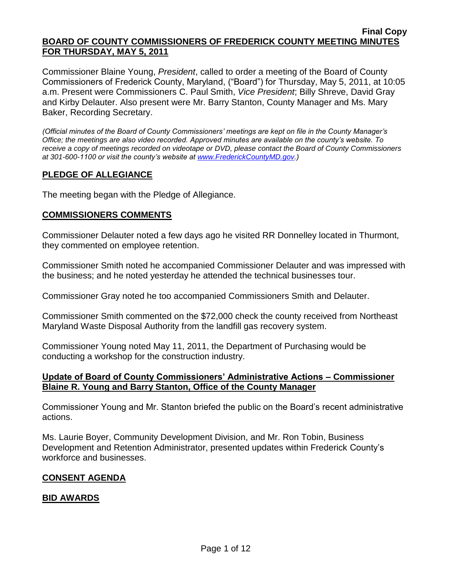Commissioner Blaine Young, *President*, called to order a meeting of the Board of County Commissioners of Frederick County, Maryland, ("Board") for Thursday, May 5, 2011, at 10:05 a.m. Present were Commissioners C. Paul Smith, *Vice President*; Billy Shreve, David Gray and Kirby Delauter. Also present were Mr. Barry Stanton, County Manager and Ms. Mary Baker, Recording Secretary.

*(Official minutes of the Board of County Commissioners' meetings are kept on file in the County Manager's Office; the meetings are also video recorded. Approved minutes are available on the county's website. To receive a copy of meetings recorded on videotape or DVD, please contact the Board of County Commissioners at 301-600-1100 or visit the county's website at [www.FrederickCountyMD.gov.](http://www.frederickcountymd.gov/))*

# **PLEDGE OF ALLEGIANCE**

The meeting began with the Pledge of Allegiance.

# **COMMISSIONERS COMMENTS**

Commissioner Delauter noted a few days ago he visited RR Donnelley located in Thurmont, they commented on employee retention.

Commissioner Smith noted he accompanied Commissioner Delauter and was impressed with the business; and he noted yesterday he attended the technical businesses tour.

Commissioner Gray noted he too accompanied Commissioners Smith and Delauter.

Commissioner Smith commented on the \$72,000 check the county received from Northeast Maryland Waste Disposal Authority from the landfill gas recovery system.

Commissioner Young noted May 11, 2011, the Department of Purchasing would be conducting a workshop for the construction industry.

# **Update of Board of County Commissioners' Administrative Actions – Commissioner Blaine R. Young and Barry Stanton, Office of the County Manager**

Commissioner Young and Mr. Stanton briefed the public on the Board's recent administrative actions.

Ms. Laurie Boyer, Community Development Division, and Mr. Ron Tobin, Business Development and Retention Administrator, presented updates within Frederick County's workforce and businesses.

# **CONSENT AGENDA**

# **BID AWARDS**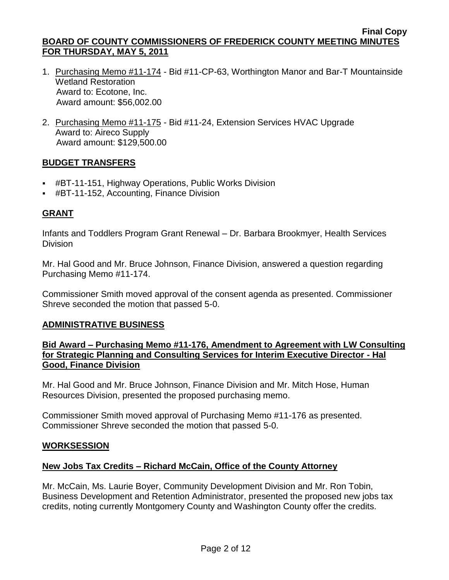- 1. Purchasing Memo #11-174 Bid #11-CP-63, Worthington Manor and Bar-T Mountainside Wetland Restoration Award to: Ecotone, Inc. Award amount: \$56,002.00
- 2. Purchasing Memo #11-175 Bid #11-24, Extension Services HVAC Upgrade Award to: Aireco Supply Award amount: \$129,500.00

# **BUDGET TRANSFERS**

- #BT-11-151, Highway Operations, Public Works Division
- #BT-11-152, Accounting, Finance Division

# **GRANT**

Infants and Toddlers Program Grant Renewal – Dr. Barbara Brookmyer, Health Services **Division** 

Mr. Hal Good and Mr. Bruce Johnson, Finance Division, answered a question regarding Purchasing Memo #11-174.

Commissioner Smith moved approval of the consent agenda as presented. Commissioner Shreve seconded the motion that passed 5-0.

## **ADMINISTRATIVE BUSINESS**

# **Bid Award – Purchasing Memo #11-176, Amendment to Agreement with LW Consulting for Strategic Planning and Consulting Services for Interim Executive Director - Hal Good, Finance Division**

Mr. Hal Good and Mr. Bruce Johnson, Finance Division and Mr. Mitch Hose, Human Resources Division, presented the proposed purchasing memo.

Commissioner Smith moved approval of Purchasing Memo #11-176 as presented. Commissioner Shreve seconded the motion that passed 5-0.

# **WORKSESSION**

# **New Jobs Tax Credits – Richard McCain, Office of the County Attorney**

Mr. McCain, Ms. Laurie Boyer, Community Development Division and Mr. Ron Tobin, Business Development and Retention Administrator, presented the proposed new jobs tax credits, noting currently Montgomery County and Washington County offer the credits.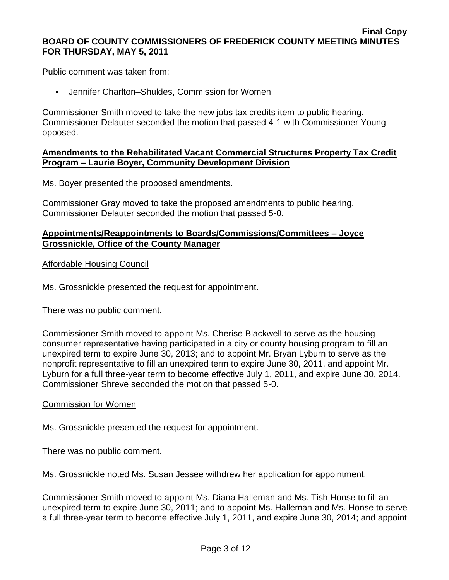Public comment was taken from:

Jennifer Charlton–Shuldes, Commission for Women

Commissioner Smith moved to take the new jobs tax credits item to public hearing. Commissioner Delauter seconded the motion that passed 4-1 with Commissioner Young opposed.

# **Amendments to the Rehabilitated Vacant Commercial Structures Property Tax Credit Program – Laurie Boyer, Community Development Division**

Ms. Boyer presented the proposed amendments.

Commissioner Gray moved to take the proposed amendments to public hearing. Commissioner Delauter seconded the motion that passed 5-0.

# **Appointments/Reappointments to Boards/Commissions/Committees – Joyce Grossnickle, Office of the County Manager**

# Affordable Housing Council

Ms. Grossnickle presented the request for appointment.

There was no public comment.

Commissioner Smith moved to appoint Ms. Cherise Blackwell to serve as the housing consumer representative having participated in a city or county housing program to fill an unexpired term to expire June 30, 2013; and to appoint Mr. Bryan Lyburn to serve as the nonprofit representative to fill an unexpired term to expire June 30, 2011, and appoint Mr. Lyburn for a full three-year term to become effective July 1, 2011, and expire June 30, 2014. Commissioner Shreve seconded the motion that passed 5-0.

# Commission for Women

Ms. Grossnickle presented the request for appointment.

There was no public comment.

Ms. Grossnickle noted Ms. Susan Jessee withdrew her application for appointment.

Commissioner Smith moved to appoint Ms. Diana Halleman and Ms. Tish Honse to fill an unexpired term to expire June 30, 2011; and to appoint Ms. Halleman and Ms. Honse to serve a full three-year term to become effective July 1, 2011, and expire June 30, 2014; and appoint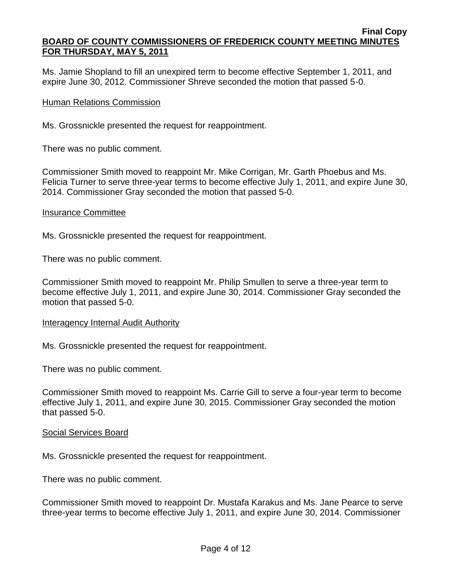Ms. Jamie Shopland to fill an unexpired term to become effective September 1, 2011, and expire June 30, 2012. Commissioner Shreve seconded the motion that passed 5-0.

# Human Relations Commission

Ms. Grossnickle presented the request for reappointment.

There was no public comment.

Commissioner Smith moved to reappoint Mr. Mike Corrigan, Mr. Garth Phoebus and Ms. Felicia Turner to serve three-year terms to become effective July 1, 2011, and expire June 30, 2014. Commissioner Gray seconded the motion that passed 5-0.

## Insurance Committee

Ms. Grossnickle presented the request for reappointment.

There was no public comment.

Commissioner Smith moved to reappoint Mr. Philip Smullen to serve a three-year term to become effective July 1, 2011, and expire June 30, 2014. Commissioner Gray seconded the motion that passed 5-0.

## Interagency Internal Audit Authority

Ms. Grossnickle presented the request for reappointment.

There was no public comment.

Commissioner Smith moved to reappoint Ms. Carrie Gill to serve a four-year term to become effective July 1, 2011, and expire June 30, 2015. Commissioner Gray seconded the motion that passed 5-0.

## Social Services Board

Ms. Grossnickle presented the request for reappointment.

There was no public comment.

Commissioner Smith moved to reappoint Dr. Mustafa Karakus and Ms. Jane Pearce to serve three-year terms to become effective July 1, 2011, and expire June 30, 2014. Commissioner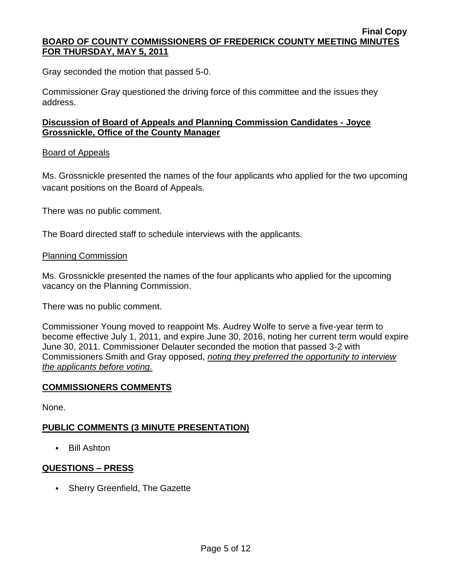Gray seconded the motion that passed 5-0.

Commissioner Gray questioned the driving force of this committee and the issues they address.

# **Discussion of Board of Appeals and Planning Commission Candidates - Joyce Grossnickle, Office of the County Manager**

# Board of Appeals

Ms. Grossnickle presented the names of the four applicants who applied for the two upcoming vacant positions on the Board of Appeals.

There was no public comment.

The Board directed staff to schedule interviews with the applicants.

# Planning Commission

Ms. Grossnickle presented the names of the four applicants who applied for the upcoming vacancy on the Planning Commission.

There was no public comment.

Commissioner Young moved to reappoint Ms. Audrey Wolfe to serve a five-year term to become effective July 1, 2011, and expire June 30, 2016, noting her current term would expire June 30, 2011. Commissioner Delauter seconded the motion that passed 3-2 with Commissioners Smith and Gray opposed, *noting they preferred the opportunity to interview the applicants before voting.* 

# **COMMISSIONERS COMMENTS**

None.

# **PUBLIC COMMENTS (3 MINUTE PRESENTATION)**

Bill Ashton

# **QUESTIONS – PRESS**

• Sherry Greenfield, The Gazette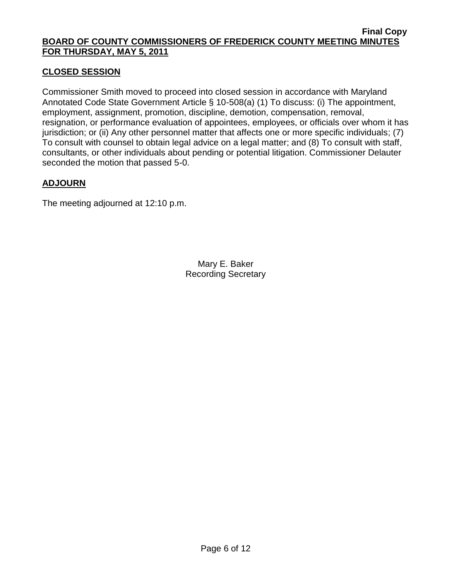# **CLOSED SESSION**

Commissioner Smith moved to proceed into closed session in accordance with Maryland Annotated Code State Government Article § 10-508(a) (1) To discuss: (i) The appointment, employment, assignment, promotion, discipline, demotion, compensation, removal, resignation, or performance evaluation of appointees, employees, or officials over whom it has jurisdiction; or (ii) Any other personnel matter that affects one or more specific individuals; (7) To consult with counsel to obtain legal advice on a legal matter; and (8) To consult with staff, consultants, or other individuals about pending or potential litigation. Commissioner Delauter seconded the motion that passed 5-0.

# **ADJOURN**

The meeting adjourned at 12:10 p.m.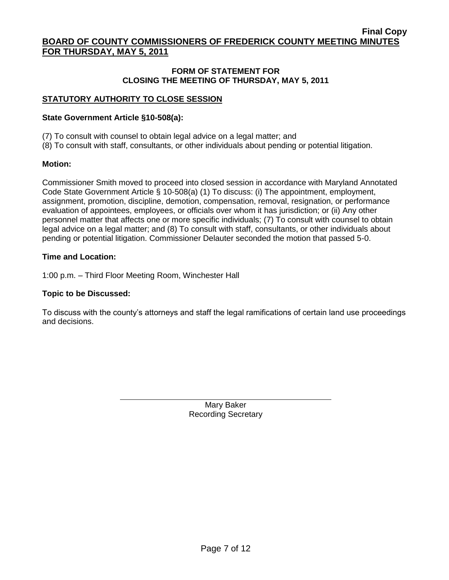#### **FORM OF STATEMENT FOR CLOSING THE MEETING OF THURSDAY, MAY 5, 2011**

# **STATUTORY AUTHORITY TO CLOSE SESSION**

### **State Government Article §10-508(a):**

(7) To consult with counsel to obtain legal advice on a legal matter; and

(8) To consult with staff, consultants, or other individuals about pending or potential litigation.

#### **Motion:**

Commissioner Smith moved to proceed into closed session in accordance with Maryland Annotated Code State Government Article § 10-508(a) (1) To discuss: (i) The appointment, employment, assignment, promotion, discipline, demotion, compensation, removal, resignation, or performance evaluation of appointees, employees, or officials over whom it has jurisdiction; or (ii) Any other personnel matter that affects one or more specific individuals; (7) To consult with counsel to obtain legal advice on a legal matter; and (8) To consult with staff, consultants, or other individuals about pending or potential litigation. Commissioner Delauter seconded the motion that passed 5-0.

#### **Time and Location:**

1:00 p.m. – Third Floor Meeting Room, Winchester Hall

### **Topic to be Discussed:**

To discuss with the county's attorneys and staff the legal ramifications of certain land use proceedings and decisions.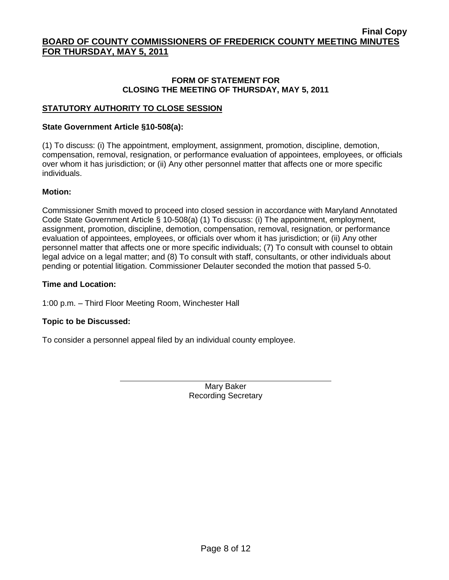#### **FORM OF STATEMENT FOR CLOSING THE MEETING OF THURSDAY, MAY 5, 2011**

### **STATUTORY AUTHORITY TO CLOSE SESSION**

#### **State Government Article §10-508(a):**

(1) To discuss: (i) The appointment, employment, assignment, promotion, discipline, demotion, compensation, removal, resignation, or performance evaluation of appointees, employees, or officials over whom it has jurisdiction; or (ii) Any other personnel matter that affects one or more specific individuals.

#### **Motion:**

Commissioner Smith moved to proceed into closed session in accordance with Maryland Annotated Code State Government Article § 10-508(a) (1) To discuss: (i) The appointment, employment, assignment, promotion, discipline, demotion, compensation, removal, resignation, or performance evaluation of appointees, employees, or officials over whom it has jurisdiction; or (ii) Any other personnel matter that affects one or more specific individuals; (7) To consult with counsel to obtain legal advice on a legal matter; and (8) To consult with staff, consultants, or other individuals about pending or potential litigation. Commissioner Delauter seconded the motion that passed 5-0.

#### **Time and Location:**

1:00 p.m. – Third Floor Meeting Room, Winchester Hall

#### **Topic to be Discussed:**

To consider a personnel appeal filed by an individual county employee.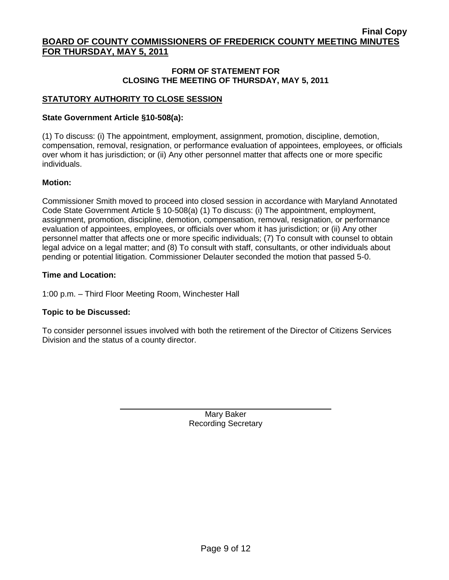#### **FORM OF STATEMENT FOR CLOSING THE MEETING OF THURSDAY, MAY 5, 2011**

## **STATUTORY AUTHORITY TO CLOSE SESSION**

## **State Government Article §10-508(a):**

(1) To discuss: (i) The appointment, employment, assignment, promotion, discipline, demotion, compensation, removal, resignation, or performance evaluation of appointees, employees, or officials over whom it has jurisdiction; or (ii) Any other personnel matter that affects one or more specific individuals.

#### **Motion:**

Commissioner Smith moved to proceed into closed session in accordance with Maryland Annotated Code State Government Article § 10-508(a) (1) To discuss: (i) The appointment, employment, assignment, promotion, discipline, demotion, compensation, removal, resignation, or performance evaluation of appointees, employees, or officials over whom it has jurisdiction; or (ii) Any other personnel matter that affects one or more specific individuals; (7) To consult with counsel to obtain legal advice on a legal matter; and (8) To consult with staff, consultants, or other individuals about pending or potential litigation. Commissioner Delauter seconded the motion that passed 5-0.

#### **Time and Location:**

1:00 p.m. – Third Floor Meeting Room, Winchester Hall

## **Topic to be Discussed:**

To consider personnel issues involved with both the retirement of the Director of Citizens Services Division and the status of a county director.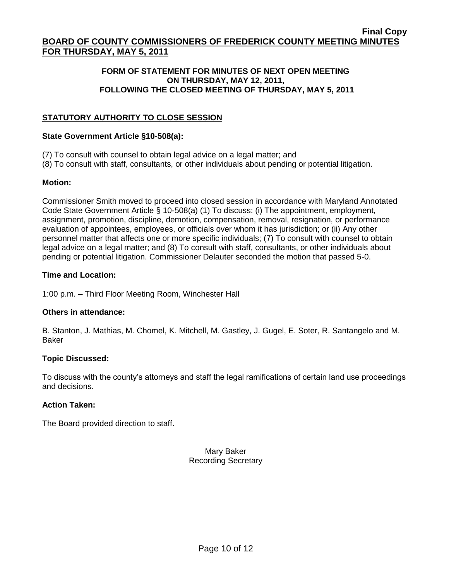## **FORM OF STATEMENT FOR MINUTES OF NEXT OPEN MEETING ON THURSDAY, MAY 12, 2011, FOLLOWING THE CLOSED MEETING OF THURSDAY, MAY 5, 2011**

# **STATUTORY AUTHORITY TO CLOSE SESSION**

### **State Government Article §10-508(a):**

- (7) To consult with counsel to obtain legal advice on a legal matter; and
- (8) To consult with staff, consultants, or other individuals about pending or potential litigation.

## **Motion:**

Commissioner Smith moved to proceed into closed session in accordance with Maryland Annotated Code State Government Article § 10-508(a) (1) To discuss: (i) The appointment, employment, assignment, promotion, discipline, demotion, compensation, removal, resignation, or performance evaluation of appointees, employees, or officials over whom it has jurisdiction; or (ii) Any other personnel matter that affects one or more specific individuals; (7) To consult with counsel to obtain legal advice on a legal matter; and (8) To consult with staff, consultants, or other individuals about pending or potential litigation. Commissioner Delauter seconded the motion that passed 5-0.

## **Time and Location:**

1:00 p.m. – Third Floor Meeting Room, Winchester Hall

## **Others in attendance:**

B. Stanton, J. Mathias, M. Chomel, K. Mitchell, M. Gastley, J. Gugel, E. Soter, R. Santangelo and M. Baker

## **Topic Discussed:**

To discuss with the county's attorneys and staff the legal ramifications of certain land use proceedings and decisions.

## **Action Taken:**

The Board provided direction to staff.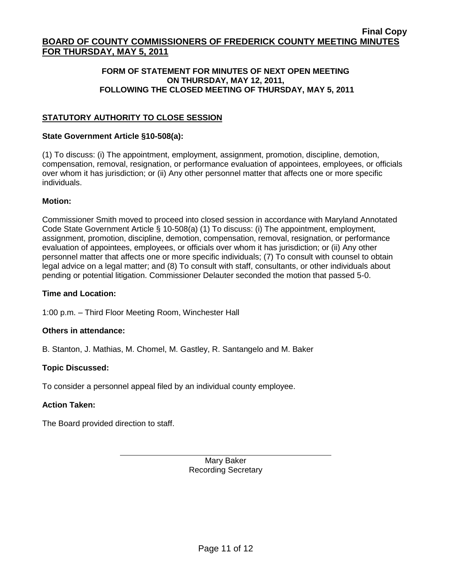## **FORM OF STATEMENT FOR MINUTES OF NEXT OPEN MEETING ON THURSDAY, MAY 12, 2011, FOLLOWING THE CLOSED MEETING OF THURSDAY, MAY 5, 2011**

# **STATUTORY AUTHORITY TO CLOSE SESSION**

### **State Government Article §10-508(a):**

(1) To discuss: (i) The appointment, employment, assignment, promotion, discipline, demotion, compensation, removal, resignation, or performance evaluation of appointees, employees, or officials over whom it has jurisdiction; or (ii) Any other personnel matter that affects one or more specific individuals.

#### **Motion:**

Commissioner Smith moved to proceed into closed session in accordance with Maryland Annotated Code State Government Article § 10-508(a) (1) To discuss: (i) The appointment, employment, assignment, promotion, discipline, demotion, compensation, removal, resignation, or performance evaluation of appointees, employees, or officials over whom it has jurisdiction; or (ii) Any other personnel matter that affects one or more specific individuals; (7) To consult with counsel to obtain legal advice on a legal matter; and (8) To consult with staff, consultants, or other individuals about pending or potential litigation. Commissioner Delauter seconded the motion that passed 5-0.

#### **Time and Location:**

1:00 p.m. – Third Floor Meeting Room, Winchester Hall

## **Others in attendance:**

B. Stanton, J. Mathias, M. Chomel, M. Gastley, R. Santangelo and M. Baker

## **Topic Discussed:**

To consider a personnel appeal filed by an individual county employee.

## **Action Taken:**

The Board provided direction to staff.